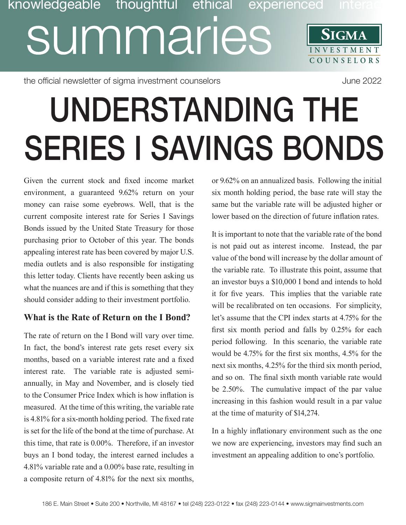# knowledgeable thoughtful ethical experienced inte summaries **SIGMA INVESTMENT COUNSE L O R S**

the official newsletter of sigma investment counselors and the official newsletter of sigma investment counselors

# UNDERSTANDING THE SERIES I SAVINGS BONDS

Given the current stock and fixed income market environment, a guaranteed 9.62% return on your money can raise some eyebrows. Well, that is the current composite interest rate for Series I Savings Bonds issued by the United State Treasury for those purchasing prior to October of this year. The bonds appealing interest rate has been covered by major U.S. media outlets and is also responsible for instigating this letter today. Clients have recently been asking us what the nuances are and if this is something that they should consider adding to their investment portfolio.

## **What is the Rate of Return on the I Bond?**

The rate of return on the I Bond will vary over time. In fact, the bond's interest rate gets reset every six months, based on a variable interest rate and a fixed interest rate. The variable rate is adjusted semiannually, in May and November, and is closely tied to the Consumer Price Index which is how inflation is measured. At the time of this writing, the variable rate is 4.81% for a six-month holding period. The fixed rate is set for the life of the bond at the time of purchase. At this time, that rate is 0.00%. Therefore, if an investor buys an I bond today, the interest earned includes a 4.81% variable rate and a 0.00% base rate, resulting in a composite return of 4.81% for the next six months,

or 9.62% on an annualized basis. Following the initial six month holding period, the base rate will stay the same but the variable rate will be adjusted higher or lower based on the direction of future inflation rates.

It is important to note that the variable rate of the bond is not paid out as interest income. Instead, the par value of the bond will increase by the dollar amount of the variable rate. To illustrate this point, assume that an investor buys a \$10,000 I bond and intends to hold it for five years. This implies that the variable rate will be recalibrated on ten occasions. For simplicity, let's assume that the CPI index starts at 4.75% for the first six month period and falls by 0.25% for each period following. In this scenario, the variable rate would be 4.75% for the first six months, 4.5% for the next six months, 4.25% for the third six month period, and so on. The final sixth month variable rate would be 2.50%. The cumulative impact of the par value increasing in this fashion would result in a par value at the time of maturity of \$14,274.

In a highly inflationary environment such as the one we now are experiencing, investors may find such an investment an appealing addition to one's portfolio.